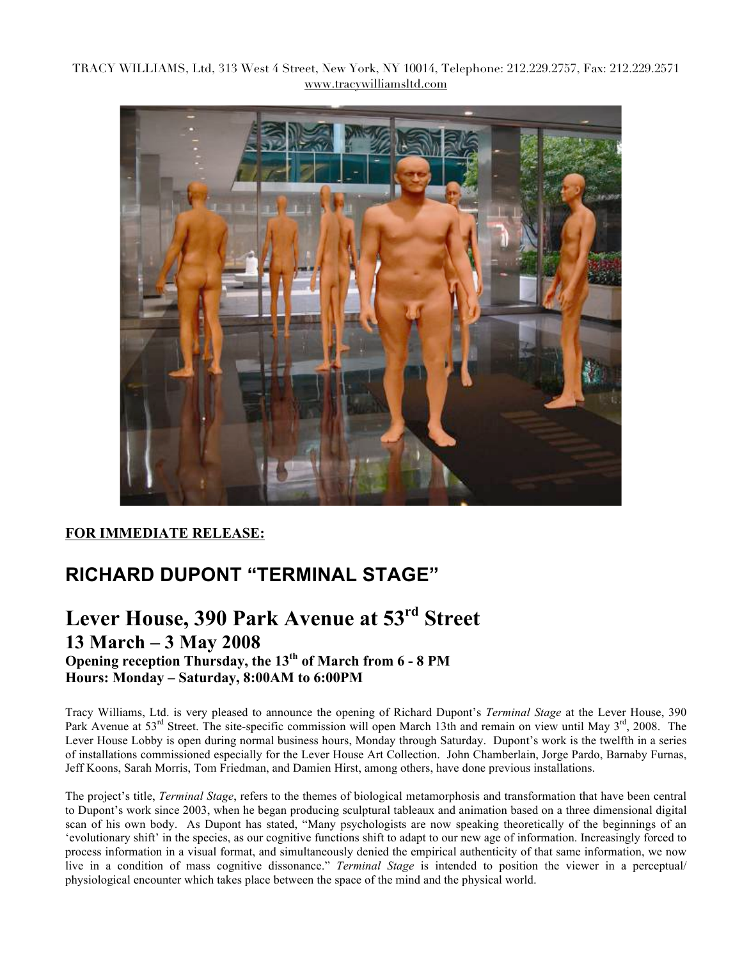TRACY WILLIAMS, Ltd, 313 West 4 Street, New York, NY 10014, Telephone: 212.229.2757, Fax: 212.229.2571 www.tracywilliamsltd.com



## **FOR IMMEDIATE RELEASE:**

## **RICHARD DUPONT "TERMINAL STAGE"**

## **Lever House, 390 Park Avenue at 53rd Street 13 March – 3 May 2008 Opening reception Thursday, the 13<sup>th</sup> of March from 6 - 8 PM Hours: Monday – Saturday, 8:00AM to 6:00PM**

Tracy Williams, Ltd. is very pleased to announce the opening of Richard Dupont's *Terminal Stage* at the Lever House, 390 Park Avenue at 53<sup>rd</sup> Street. The site-specific commission will open March 13th and remain on view until May 3<sup>rd</sup>, 2008. The Lever House Lobby is open during normal business hours, Monday through Saturday. Dupont's work is the twelfth in a series of installations commissioned especially for the Lever House Art Collection. John Chamberlain, Jorge Pardo, Barnaby Furnas, Jeff Koons, Sarah Morris, Tom Friedman, and Damien Hirst, among others, have done previous installations.

The project's title, *Terminal Stage*, refers to the themes of biological metamorphosis and transformation that have been central to Dupont's work since 2003, when he began producing sculptural tableaux and animation based on a three dimensional digital scan of his own body. As Dupont has stated, "Many psychologists are now speaking theoretically of the beginnings of an 'evolutionary shift' in the species, as our cognitive functions shift to adapt to our new age of information. Increasingly forced to process information in a visual format, and simultaneously denied the empirical authenticity of that same information, we now live in a condition of mass cognitive dissonance." *Terminal Stage* is intended to position the viewer in a perceptual/ physiological encounter which takes place between the space of the mind and the physical world.